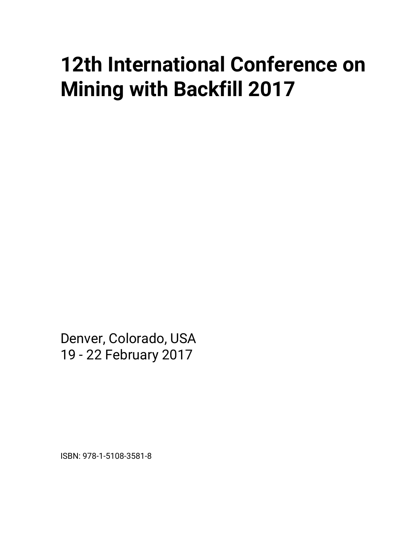## **12th International Conference on Mining with Backfill 2017**

Denver, Colorado, USA 19 - 22 February 2017

ISBN: 978-1-5108-3581-8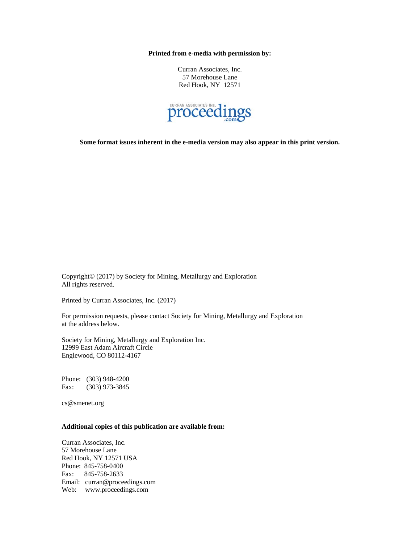**Printed from e-media with permission by:** 

Curran Associates, Inc. 57 Morehouse Lane Red Hook, NY 12571



**Some format issues inherent in the e-media version may also appear in this print version.** 

Copyright© (2017) by Society for Mining, Metallurgy and Exploration All rights reserved.

Printed by Curran Associates, Inc. (2017)

For permission requests, please contact Society for Mining, Metallurgy and Exploration at the address below.

Society for Mining, Metallurgy and Exploration Inc. 12999 East Adam Aircraft Circle Englewood, CO 80112-4167

Phone: (303) 948-4200 Fax: (303) 973-3845

cs@smenet.org

## **Additional copies of this publication are available from:**

Curran Associates, Inc. 57 Morehouse Lane Red Hook, NY 12571 USA Phone: 845-758-0400 Fax: 845-758-2633 Email: curran@proceedings.com Web: www.proceedings.com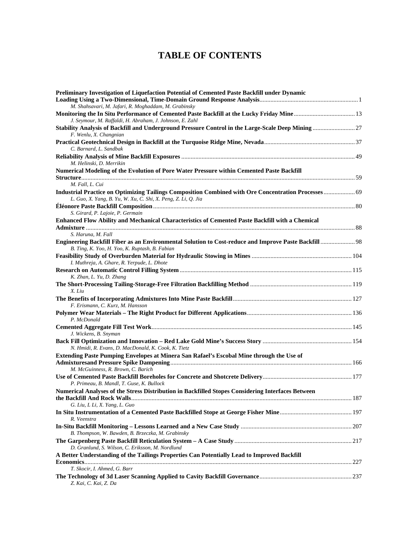## **TABLE OF CONTENTS**

| Preliminary Investigation of Liquefaction Potential of Cemented Paste Backfill under Dynamic                                                                              |  |
|---------------------------------------------------------------------------------------------------------------------------------------------------------------------------|--|
| M. Shahsavari, M. Jafari, R. Moghaddam, M. Grabinsky                                                                                                                      |  |
| J. Seymour, M. Raffaldi, H. Abraham, J. Johnson, E. Zahl                                                                                                                  |  |
| Stability Analysis of Backfill and Underground Pressure Control in the Large-Scale Deep Mining 27<br>F. Wenlu, X. Changnian                                               |  |
| C. Barnard, L. Sandbak                                                                                                                                                    |  |
| M. Helinski, D. Merrikin                                                                                                                                                  |  |
| Numerical Modeling of the Evolution of Pore Water Pressure within Cemented Paste Backfill                                                                                 |  |
|                                                                                                                                                                           |  |
| M. Fall. L. Cui                                                                                                                                                           |  |
| 169 Industrial Practice on Optimizing Tailings Composition Combined with Ore Concentration Processes  69<br>L. Guo, X. Yang, B. Yu, W. Xu, C. Shi, X. Peng, Z. Li, Q. Jia |  |
|                                                                                                                                                                           |  |
| S. Girard, P. Lajoie, P. Germain                                                                                                                                          |  |
| Enhanced Flow Ability and Mechanical Characteristics of Cemented Paste Backfill with a Chemical                                                                           |  |
|                                                                                                                                                                           |  |
| S. Haruna, M. Fall                                                                                                                                                        |  |
| B. Ting, K. Yoo, H. Yoo, K. Ruptash, B. Fabian                                                                                                                            |  |
|                                                                                                                                                                           |  |
| I. Muthreja, A. Ghare, R. Yerpude, L. Dhote                                                                                                                               |  |
|                                                                                                                                                                           |  |
| K. Zhan, L. Yu, D. Zhang                                                                                                                                                  |  |
| X. Liu                                                                                                                                                                    |  |
|                                                                                                                                                                           |  |
| F. Erismann, C. Kurz, M. Hansson                                                                                                                                          |  |
| P. McDonald                                                                                                                                                               |  |
| J. Wickens, B. Snyman                                                                                                                                                     |  |
| N. Hmidi, R. Evans, D. MacDonald, K. Cook, K. Tietz                                                                                                                       |  |
| Extending Paste Pumping Envelopes at Minera San Rafael's Escobal Mine through the Use of                                                                                  |  |
| M. McGuinness, R. Brown, C. Barich                                                                                                                                        |  |
| P. Primeau, B. Mandl, T. Guse, K. Bullock                                                                                                                                 |  |
| Numerical Analyses of the Stress Distribution in Backfilled Stopes Considering Interfaces Between                                                                         |  |
| G. Liu, L Li, X. Yang, L. Guo                                                                                                                                             |  |
| R. Veenstra                                                                                                                                                               |  |
|                                                                                                                                                                           |  |
| B. Thompson, W. Bawden, B. Brzeczka, M. Grabinsky                                                                                                                         |  |
| D. Granlund, S. Wilson, C. Eriksson, M. Nordlund                                                                                                                          |  |
| A Better Understanding of the Tailings Properties Can Potentially Lead to Improved Backfill                                                                               |  |
|                                                                                                                                                                           |  |
| T. Skocir, I. Ahmed, G. Barr                                                                                                                                              |  |
| Z. Kai, C. Kai, Z. Da                                                                                                                                                     |  |